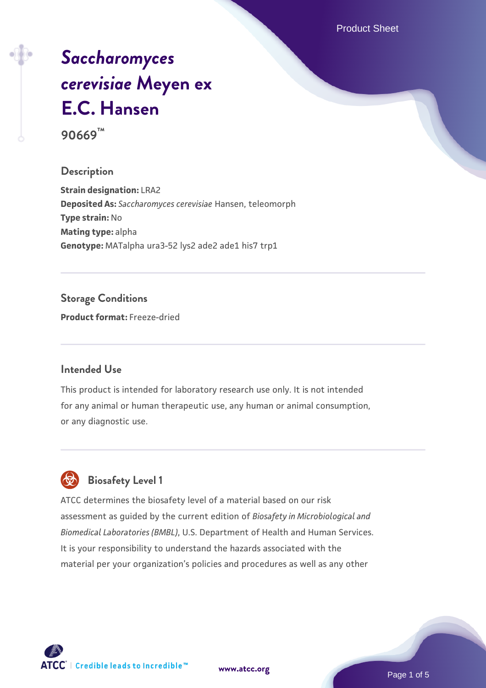Product Sheet

# *[Saccharomyces](https://www.atcc.org/products/90669) [cerevisiae](https://www.atcc.org/products/90669)* **[Meyen ex](https://www.atcc.org/products/90669) [E.C. Hansen](https://www.atcc.org/products/90669)**

**90669™**

#### **Description**

**Strain designation:** LRA2 **Deposited As:** *Saccharomyces cerevisiae* Hansen, teleomorph **Type strain:** No **Mating type:** alpha **Genotype:** MATalpha ura3-52 lys2 ade2 ade1 his7 trp1

#### **Storage Conditions**

**Product format:** Freeze-dried

#### **Intended Use**

This product is intended for laboratory research use only. It is not intended for any animal or human therapeutic use, any human or animal consumption, or any diagnostic use.



### **Biosafety Level 1**

ATCC determines the biosafety level of a material based on our risk assessment as guided by the current edition of *Biosafety in Microbiological and Biomedical Laboratories (BMBL)*, U.S. Department of Health and Human Services. It is your responsibility to understand the hazards associated with the material per your organization's policies and procedures as well as any other

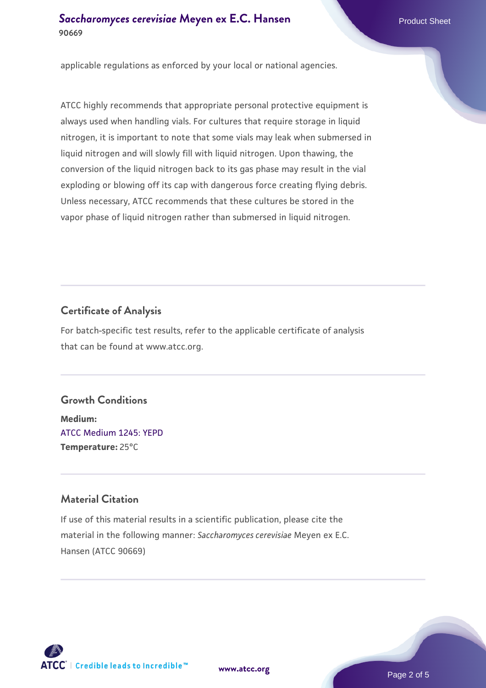#### **[Saccharomyces cerevisiae](https://www.atcc.org/products/90669)** [Meyen ex E.C. Hansen](https://www.atcc.org/products/90669) **90669**

applicable regulations as enforced by your local or national agencies.

ATCC highly recommends that appropriate personal protective equipment is always used when handling vials. For cultures that require storage in liquid nitrogen, it is important to note that some vials may leak when submersed in liquid nitrogen and will slowly fill with liquid nitrogen. Upon thawing, the conversion of the liquid nitrogen back to its gas phase may result in the vial exploding or blowing off its cap with dangerous force creating flying debris. Unless necessary, ATCC recommends that these cultures be stored in the vapor phase of liquid nitrogen rather than submersed in liquid nitrogen.

#### **Certificate of Analysis**

For batch-specific test results, refer to the applicable certificate of analysis that can be found at www.atcc.org.

#### **Growth Conditions**

**Medium:**  [ATCC Medium 1245: YEPD](https://www.atcc.org/-/media/product-assets/documents/microbial-media-formulations/1/2/4/5/atcc-medium-1245.pdf?rev=705ca55d1b6f490a808a965d5c072196) **Temperature:** 25°C

#### **Material Citation**

If use of this material results in a scientific publication, please cite the material in the following manner: *Saccharomyces cerevisiae* Meyen ex E.C. Hansen (ATCC 90669)



**[www.atcc.org](http://www.atcc.org)**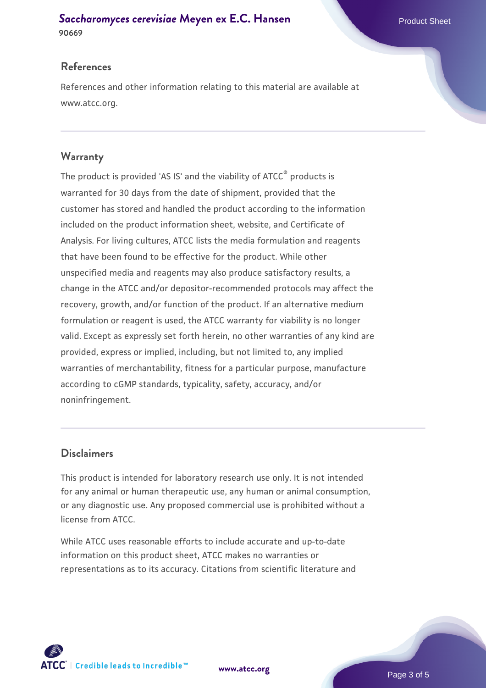#### **[Saccharomyces cerevisiae](https://www.atcc.org/products/90669)** [Meyen ex E.C. Hansen](https://www.atcc.org/products/90669) **90669**

#### **References**

References and other information relating to this material are available at www.atcc.org.

#### **Warranty**

The product is provided 'AS IS' and the viability of ATCC® products is warranted for 30 days from the date of shipment, provided that the customer has stored and handled the product according to the information included on the product information sheet, website, and Certificate of Analysis. For living cultures, ATCC lists the media formulation and reagents that have been found to be effective for the product. While other unspecified media and reagents may also produce satisfactory results, a change in the ATCC and/or depositor-recommended protocols may affect the recovery, growth, and/or function of the product. If an alternative medium formulation or reagent is used, the ATCC warranty for viability is no longer valid. Except as expressly set forth herein, no other warranties of any kind are provided, express or implied, including, but not limited to, any implied warranties of merchantability, fitness for a particular purpose, manufacture according to cGMP standards, typicality, safety, accuracy, and/or noninfringement.

#### **Disclaimers**

This product is intended for laboratory research use only. It is not intended for any animal or human therapeutic use, any human or animal consumption, or any diagnostic use. Any proposed commercial use is prohibited without a license from ATCC.

While ATCC uses reasonable efforts to include accurate and up-to-date information on this product sheet, ATCC makes no warranties or representations as to its accuracy. Citations from scientific literature and



**[www.atcc.org](http://www.atcc.org)**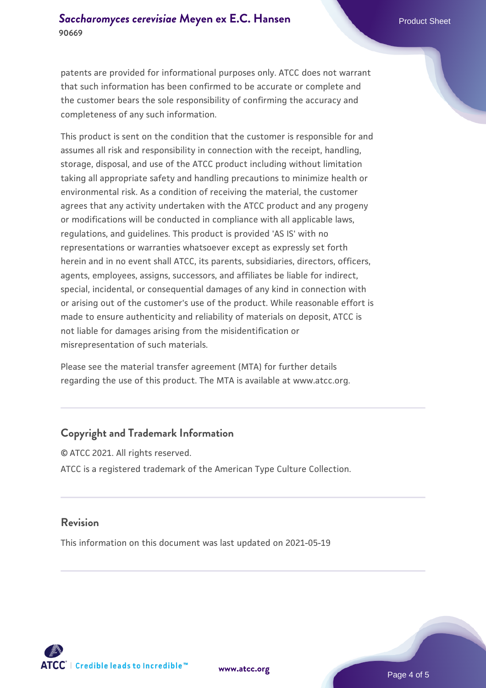patents are provided for informational purposes only. ATCC does not warrant that such information has been confirmed to be accurate or complete and the customer bears the sole responsibility of confirming the accuracy and completeness of any such information.

This product is sent on the condition that the customer is responsible for and assumes all risk and responsibility in connection with the receipt, handling, storage, disposal, and use of the ATCC product including without limitation taking all appropriate safety and handling precautions to minimize health or environmental risk. As a condition of receiving the material, the customer agrees that any activity undertaken with the ATCC product and any progeny or modifications will be conducted in compliance with all applicable laws, regulations, and guidelines. This product is provided 'AS IS' with no representations or warranties whatsoever except as expressly set forth herein and in no event shall ATCC, its parents, subsidiaries, directors, officers, agents, employees, assigns, successors, and affiliates be liable for indirect, special, incidental, or consequential damages of any kind in connection with or arising out of the customer's use of the product. While reasonable effort is made to ensure authenticity and reliability of materials on deposit, ATCC is not liable for damages arising from the misidentification or misrepresentation of such materials.

Please see the material transfer agreement (MTA) for further details regarding the use of this product. The MTA is available at www.atcc.org.

#### **Copyright and Trademark Information**

© ATCC 2021. All rights reserved. ATCC is a registered trademark of the American Type Culture Collection.

#### **Revision**

This information on this document was last updated on 2021-05-19



**[www.atcc.org](http://www.atcc.org)**